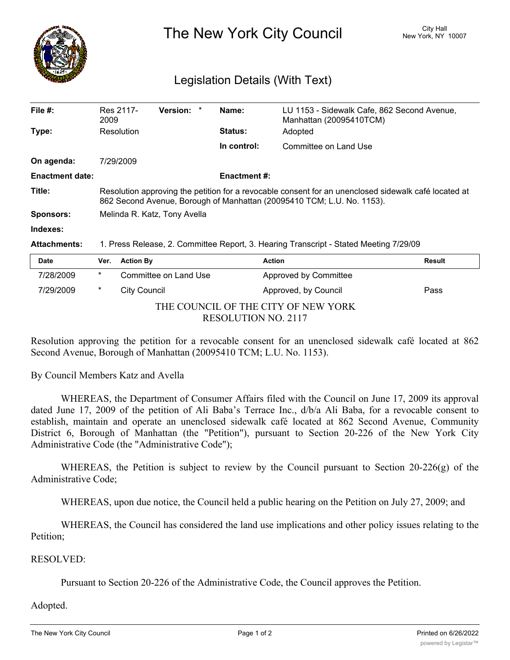

The New York City Council New York, NY 10007

## Legislation Details (With Text)

| File $#$ :             | Res 2117-<br>2009                                                                                                                                                              | <b>Version:</b> |  | Name:               | LU 1153 - Sidewalk Cafe, 862 Second Avenue,<br>Manhattan (20095410TCM) |  |  |
|------------------------|--------------------------------------------------------------------------------------------------------------------------------------------------------------------------------|-----------------|--|---------------------|------------------------------------------------------------------------|--|--|
| Type:                  | Resolution                                                                                                                                                                     |                 |  | <b>Status:</b>      | Adopted                                                                |  |  |
|                        |                                                                                                                                                                                |                 |  | In control:         | Committee on Land Use                                                  |  |  |
| On agenda:             | 7/29/2009                                                                                                                                                                      |                 |  |                     |                                                                        |  |  |
| <b>Enactment date:</b> |                                                                                                                                                                                |                 |  | <b>Enactment #:</b> |                                                                        |  |  |
| Title:                 | Resolution approving the petition for a revocable consent for an unenclosed sidewalk café located at<br>862 Second Avenue, Borough of Manhattan (20095410 TCM; L.U. No. 1153). |                 |  |                     |                                                                        |  |  |
| <b>Sponsors:</b>       | Melinda R. Katz, Tony Avella                                                                                                                                                   |                 |  |                     |                                                                        |  |  |
| Indexes:               |                                                                                                                                                                                |                 |  |                     |                                                                        |  |  |
| <b>Attachments:</b>    | 1. Press Release, 2. Committee Report, 3. Hearing Transcript - Stated Meeting 7/29/09                                                                                          |                 |  |                     |                                                                        |  |  |
| <b>D.L.</b>            | $M_{\rm{max}} = 0.45$ and $M_{\rm{max}}$                                                                                                                                       |                 |  |                     | $A = 41 - 12$                                                          |  |  |

| <b>Date</b>                         |   | Ver. Action By        | <b>Action</b>         | <b>Result</b> |  |  |  |  |
|-------------------------------------|---|-----------------------|-----------------------|---------------|--|--|--|--|
| 7/28/2009                           | * | Committee on Land Use | Approved by Committee |               |  |  |  |  |
| 7/29/2009                           | * | City Council          | Approved, by Council  | Pass          |  |  |  |  |
| THE COUNCIL OF THE CITY OF NEW YORK |   |                       |                       |               |  |  |  |  |
| <b>RESOLUTION NO. 2117</b>          |   |                       |                       |               |  |  |  |  |

Resolution approving the petition for a revocable consent for an unenclosed sidewalk café located at 862 Second Avenue, Borough of Manhattan (20095410 TCM; L.U. No. 1153).

By Council Members Katz and Avella

WHEREAS, the Department of Consumer Affairs filed with the Council on June 17, 2009 its approval dated June 17, 2009 of the petition of Ali Baba's Terrace Inc., d/b/a Ali Baba, for a revocable consent to establish, maintain and operate an unenclosed sidewalk café located at 862 Second Avenue, Community District 6, Borough of Manhattan (the "Petition"), pursuant to Section 20-226 of the New York City Administrative Code (the "Administrative Code");

WHEREAS, the Petition is subject to review by the Council pursuant to Section 20-226(g) of the Administrative Code;

WHEREAS, upon due notice, the Council held a public hearing on the Petition on July 27, 2009; and

WHEREAS, the Council has considered the land use implications and other policy issues relating to the Petition;

## RESOLVED:

Pursuant to Section 20-226 of the Administrative Code, the Council approves the Petition.

## Adopted.